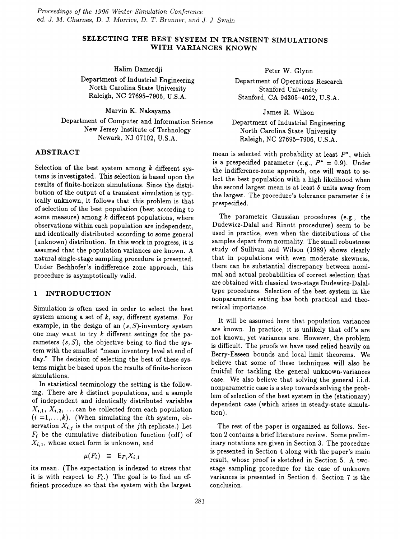# SELECTING THE BEST SYSTEM IN TRANSIENT SIMULATIONS WITH VARIANCES KNOWN

Halim Damerdji

Department of Industrial Engineering North Carolina State University Raleigh, NC 27695-7906, U.S.A.

Marvin K. Nakayama

Department of Computer and Information Science New Jersey Institute of Technology Newark, NJ 07102, U.S.A.

# ABSTRACT

Selection of the best system among *k* different systems is investigated. This selection is based upon the results of finite-horizon simulations. Since the distribution of the output of a transient simulation is typically unknown, it follows that this problem is that of selection of the best population (best according to some measure) among *k* different populations, where observations within each population are independent, and identically distributed according to some general (unknown) distribution. In this work in progress, it is assumed that the population variances are known. A natural single-stage sampling procedure is presented. Under Bechhofer's indifference zone approach, this procedure is asymptotically valid.

# 1 INTRODUCTION

Simulation is often used in order to select the best system among a set of  $k$ , say, different systems. For example, in the design of an  $(s, S)$ -inventory system one may want to try  $k$  different settings for the parameters  $(s, S)$ , the objective being to find the system with the smallest "mean inventory level at end of day." The decision of selecting the best of these systems might be based upon the results of finite-horizon simulations.

In statistical terminology the setting is the following. There are  $k$  distinct populations, and a sample of independent and identically distributed variables  $X_{i,1}, X_{i,2}, \ldots$  can be collected from each population  $(i = 1, \ldots, k)$ . (When simulating the *i*th system, observation  $X_{i,j}$  is the output of the jth replicate.) Let  $F_i$  be the cumulative distribution function (cdf) of  $X_{i,1}$ , whose exact form is unknown, and

$$
\mu(F_i) \equiv \mathsf{E}_{F_i} X_{i,1}
$$

its mean. (The expectation is indexed to stress that it is with respect to  $F_i$ .) The goal is to find an efficient procedure so that the system with the largest Peter W. Glynn

Department of Operations Research Stanford University Stanford, CA 94305-4022, U.S.A.

James R. Wilson

Department of Industrial Engineering North Carolina State University Raleigh, NC 27695-7906, U.S.A.

mean is selected with probability at least  $P^*$ , which is a prespecified parameter (e.g.,  $P^* = 0.9$ ). Under the indifference-zone approach) one will want to select the best population with a high likelihood when the second largest mean is at least  $\delta$  units away from the largest. The procedure's tolerance parameter  $\delta$  is prespecified.

The parametric Gaussian procedures (e.g., the Dudewicz-Dalal and Rinott procedures) seem to be used in practice, even when the distributions of the samples depart from normality. The small robustness study of Sullivan and Wilson (1989) shows clearly that in populations with even moderate skewness, there can be substantial discrepancy between nomimal and actual probabilities of correct selection that are obtained with classical two-stage Dudewicz-Dalaltype procedures. Selection of the best system in the nonparametric setting has both practical and theoretical importance.

It will be assumed here that population variances are known. In practice, it is unlikely that cdf's are not known, yet variances are. However, the problem is difficult. The proofs we have used relied heavily on Berry-Esseen bounds and local limit theorems. We believe that some of these techniques will also be fruitful for tackling the general unknown-variances case. We also believe that solving the general i.i.d. nonparametric case is a step towards solving the problem of selection of the best system in the (stationary) dependent case (which arises in steady-state simulation).

The rest of the paper is organized as follows. Section 2 contains a brief literature review. Some preliminary notations are given in Section 3. The procedure is presented in Section 4 along with the paper's main result, whose proof is sketched in Section 5. A twostage sampling procedure for the case of unknown variances is presented in Section 6. Section 7 is the conclusion.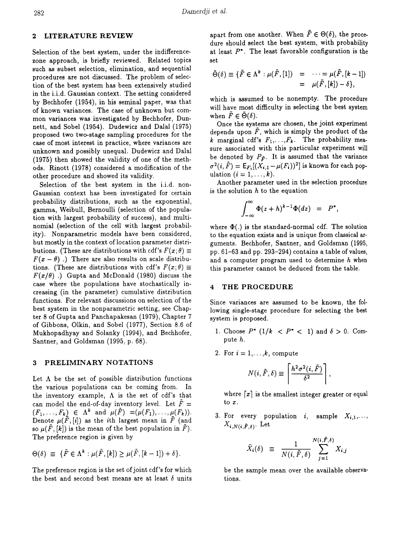### 2 LITERATURE REVIEW

Selection of the best system, under the indifferencezone approach, is briefly reviewed. Related topics such as subset selection, elimination, and sequential procedures are not discussed. The problem of selection of the best system has been extensively studied in the i.i.d. Gaussian context. The setting considered by Bechhofer (1954), in his seminal paper, was that of known variances. The case of unknown but common variances was investigated by Bechhofer, Dunnett, and Sobel (1954). Dudewicz and Dalal (1975) proposed two two-stage sampling procedures for the case of most interest in practice, where variances are unknown and possibly unequal. Dudewicz and Dalal (1975) then showed the validity of one of the methods. Rinott (1978) considered a modification of the other procedure and showed its validity.

Selection of the best system in the i.i.d. non-Gaussian context has been investigated for certain probability distributions, such as the exponential, gamma, Weibull, Bernoulli (selection of the population with largest probability of success), and multinomial (selection of the cell with largest probability). Nonparametric models have been considered, but mostly in the context of location parameter distributions. (These are distributions with cdf's  $F(x;\theta) \equiv$  $F(x - \theta)$ .) There are also results on scale distributions. (These are distributions with cdf's  $F(x; \theta) \equiv$  $F(x/\theta)$ .) Gupta and McDonald (1980) discuss the case where the populations have stochastically increasing (in the parameter) cumulative distribution functions. For relevant discussions on selection of the best system in the nonparametric setting, see Chapter 8 of Gupta and Panchapakesan (1979), Chapter 7 of Gibbons, Olkin, and Sobel (1977), Section 8.6 of Mukhopadhyay and Solanky (1994), and Bechhofer, Santner, and Goldsman (1995, p. 68).

#### 3 PRELIMINARY NOTATIONS

Let  $\Lambda$  be the set of possible distribution functions the various populations can be coming from. In the inventory example,  $\Lambda$  is the set of cdf's that can model the end-of-day inventory level. Let  $\overline{F} = (F_1, \ldots, F_k) \in \Lambda^k$  and  $\mu(\overline{F}) = (\mu(F_1), \ldots, \mu(F_k)).$ Denote  $\mu(\tilde{F}, [i])$  as the *i*th largest mean in  $\tilde{F}$  (and so  $\mu(\tilde{F}, [k])$  is the mean of the best population in  $\tilde{F}$ ). The preference region is given by

$$
\Theta(\delta) \equiv \{ \tilde{F} \in \Lambda^k : \mu(\tilde{F}, [k]) \ge \mu(\tilde{F}, [k-1]) + \delta \}.
$$

The preference region is the set of joint cdf's for which the best and second best means are at least  $\delta$  units apart from one another. When  $\tilde{F} \in \Theta(\delta)$ , the procedure should select the best system, with probability at least  $P^*$ . The least favorable configuration is the set

$$
\bar{\Theta}(\delta) \equiv \{ \tilde{F} \in \Lambda^k : \mu(\tilde{F}, [1]) = \cdots = \mu(\tilde{F}, [k-1])
$$
  
=  $\mu(\tilde{F}, [k]) - \delta \},$ 

which is assumed to be nonempty. The procedure will have most difficulty in selecting the best system when  $\tilde{F} \in \tilde{\Theta}(\delta)$ .

Once the systems are chosen, the joint experiment depends upon  $\tilde{F}$ , which is simply the product of the *k* marginal cdf's  $F_1, \ldots, F_k$ . The probability measure associated with this particular experiment will be denoted by  $P_{\tilde{F}}$ . It is assumed that the variance  $\sigma^2(i, \tilde{F}) = \mathsf{E}_{F_i}[(\tilde{X}_{i,1} - \mu(F_i))^2]$  is known for each population  $(i = 1, \ldots, k)$ .

Another parameter used in the selection procedure is the solution  $h$  to the equation

$$
\int_{-\infty}^{\infty} \Phi(z+h)^{k-1} \Phi(dz) = P^*,
$$

where  $\Phi(.)$  is the standard-normal cdf. The solution to the equation exists and is unique from classical arguments. Bechhofer, Santner, and Goldsman (1995, pp. 61-63 and pp. 293-294) contains a table of values, and a computer program used to determine  $h$  when this parameter cannot be deduced from the table.

#### 4 THE PROCEDURE

Since variances are assumed to be known, the following single-stage procedure for selecting the best system is proposed.

- 1. Choose  $P^*$  (1/ $k < P^* < 1$ ) and  $\delta > 0$ . Compute *h.*
- 2. For  $i = 1, \ldots, k$ , compute

$$
N(i, \tilde{F}, \delta) \equiv \left\lceil \frac{h^2 \sigma^2(i, \tilde{F})}{\delta^2} \right\rceil
$$

where  $\lceil x \rceil$  is the smallest integer greater or equal to *x.*

3. For every population i, sample  $X_{i,1}, \ldots$  $X_{i,N(i,\tilde{F},\delta)}$ . Let

$$
\bar{X}_i(\delta) \equiv \frac{1}{N(i, \tilde{F}, \delta)} \sum_{j=1}^{N(i, \tilde{F}, \delta)} X_{i,j}
$$

be the sample mean over the available observations.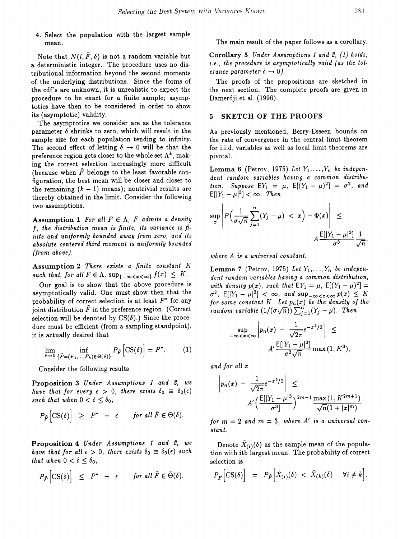4. Select the population with the largest sample mean.

Note that  $N(i, \tilde{F}, \delta)$  is not a random variable but a deterministic integer. The procedure uses no distributional information beyond the second moments of the underlying distributions. Since the forms of the cdf's are unknown, it is unrealistic to expect the procedure to be exact for a finite sample; asymptoties have then to be considered in order to show its (asymptotic) validity.

The asymptotics we consider are as the tolerance parameter  $\delta$  shrinks to zero, which will result in the sample size for each population tending to infinity. The second effect of letting  $\delta \rightarrow 0$  will be that the preference region gets closer to the whole set  $\Lambda^k$ , making the correct selection increasingly more difficult (because when  $\tilde{F}$  belongs to the least favorable configuration, the best mean will be closer and closer to the remaining  $(k - 1)$  means); nontrivial results are thereby obtained in the limit. Consider the following two assumptions.

Assumption 1 *For all*  $F \in \Lambda$ , *F admits a density I, the distribution mean is finite, its variance is finite and uniformly bounded away from zero, and its absolute centered third moment is uniformly bounded (from above).*

Assumption 2 *There exists a finite constant* K such that, for all  $F \in \Lambda$ ,  $\sup_{\{-\infty < x < \infty\}} f(x) \leq K$ .

Our goal is to show that the above procedure is asymptotically valid. One must show then that the probability of correct selection is at least  $P^*$  for any joint distribution  $\tilde{F}$  in the preference region. (Correct selection will be denoted by  $CS(\delta)$ .) Since the procedure must be efficient (from a sampling standpoint), it is actually desired that

$$
\lim_{\delta \to 0} \inf_{\{\tilde{F} = (F_1, \dots, F_k) \in \Theta(\delta)\}} P_{\tilde{F}} \left[ CS(\delta) \right] = P^*.
$$
 (1)

Consider the following results.

Proposition 3 *Under Assumptions* 1 *and* 2, *we have that for every*  $\epsilon > 0$ , *there exists*  $\delta_0 \equiv \delta_0(\epsilon)$ *such that when*  $0 < \delta \leq \delta_0$ ,

$$
P_{\tilde{F}}\left[\mathrm{CS}(\delta)\right] \geq P^* - \epsilon \quad \text{for all } \tilde{F} \in \Theta(\delta).
$$

Proposition 4 *Under Assumptions* 1 *and* 2, *we have that for all*  $\epsilon > 0$ , *there exists*  $\delta_0 \equiv \delta_0(\epsilon)$  *such that* when  $0 < \delta < \delta_0$ ,

$$
P_{\tilde{F}}\Big[\mathrm{CS}(\delta)\Big] \ \leq \ P^* \ + \ \epsilon \qquad \text{for all } \tilde{F} \in \bar{\Theta}(\delta).
$$

The main result of the paper follows as a corollary.

Corollary 5 *Under Assumptions* 1 *and* 2, (1) *holds, i. e., the procedure* is *asymptotically valid (as the tolerance parameter*  $\delta \rightarrow 0$ .

The proofs of the propositions are sketched in the next section. The complete proofs are given in Damerdji et al. (1996).

### 5 SKETCH OF THE PROOFS

As previously mentioned, Berry-Esseen bounds on the rate of convergence in the central limit theorem for i.i.d. variables as well as local limit theorems are pivotal.

**Lemma 6** (Petrov, 1975) Let  $Y_1, \ldots, Y_n$  be indepen*dent random variables having a common distribution. Suppose*  $EY_1 = \mu$ ,  $E[(Y_1 - \mu)^2] = \sigma^2$ , and  $E[|Y_1 - \mu|^3] < \infty$ . *Then* 

$$
\sup_{x} \left| P\left(\frac{1}{\sigma\sqrt{n}}\sum_{j=1}^{n}(Y_j - \mu) < x\right) - \Phi(x) \right| \leq
$$
\n
$$
A \frac{\mathsf{E}[|Y_1 - \mu|^3]}{\sigma^3} \frac{1}{\sqrt{n}},
$$

*where A is a universal constant.*

**Lemma 7** (Petrov, 1975) Let  $Y_1, \ldots, Y_n$  be indepen*dent random variables having a common distribution, with density*  $p(x)$ , *such that*  $EY_1 = \mu$ ,  $E[(Y_1 - \mu)^2] =$  $\sigma^2$ ,  $\mathsf{E}[|Y_1 - \mu|^3] < \infty$ , and  $\sup_{-\infty < x < \infty} p(x) \leq K$ *for* some constant  $K$ . Let  $p_n(x)$  be the density of the *random variable*  $(1/(\sigma\sqrt{n})) \sum_{j=1}^{n} (Y_j - \mu)$ . *Then* 

$$
\sup_{-\infty < x < \infty} \left| p_n(x) - \frac{1}{\sqrt{2\pi}} e^{-x^2/2} \right| \leq
$$
\n
$$
A' \frac{\mathbb{E}[|Y_1 - \mu|^3]}{\sigma^3 \sqrt{n}} \max(1, K^3)
$$

*and for all x*

$$
\left| p_n(x) - \frac{1}{\sqrt{2\pi}} e^{-x^2/2} \right| \le
$$
  

$$
A' \left( \frac{E[|Y_1 - \mu|^3}{\sigma^3} \right)^{2m-1} \frac{\max(1, K^{2m+1})}{\sqrt{n}(1 + |x|^m)}
$$

*for*  $m = 2$  *and*  $m = 3$ , *where*  $A'$  *is a universal constant.*

Denote  $\bar{X}_{(i)}(\delta)$  as the sample mean of the population with ith largest mean. The probability of correct selection is

$$
P_{\tilde{F}}\Big[\mathrm{CS}(\delta)\Big] = P_{\tilde{F}}\Big[\bar{X}_{(i)}(\delta) < \bar{X}_{(k)}(\delta) \quad \forall i \neq k\Big].
$$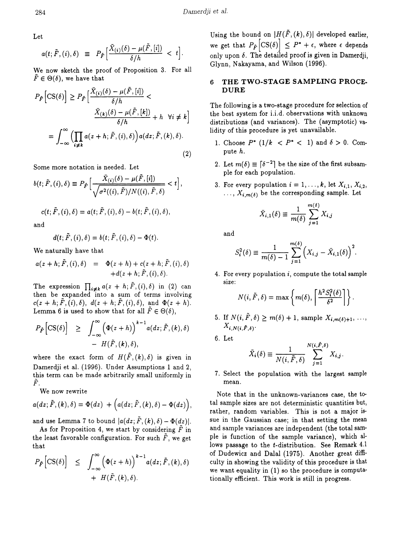Let

$$
a(t; \tilde{F}, (i), \delta) \equiv P_{\tilde{F}} \Big[ \frac{\bar{X}_{(i)}(\delta) - \mu(\tilde{F}, [i])}{\delta/h} < t \Big].
$$

We now sketch the proof of Proposition 3. For all  $\tilde{F} \in \Theta(\delta)$ , we have that

$$
P_{\tilde{F}}\left[\text{CS}(\delta)\right] \ge P_{\tilde{F}}\left[\frac{\bar{X}_{(i)}(\delta) - \mu(\tilde{F}, [i])}{\delta/h} \frac{\bar{X}_{(k)}(\delta) - \mu(\tilde{F}, [k])}{\delta/h} + h \quad \forall i \neq k\right]
$$

$$
= \int_{-\infty}^{\infty} \left(\prod_{i \neq k} a(z + h; \tilde{F}, (i), \delta)\right) a(dz; \tilde{F}, (k), \delta).
$$
(2)

Some more notation is needed. Let

$$
b(t; \tilde{F}, (i), \delta) \equiv P_{\tilde{F}} \Big[ \frac{\bar{X}_{(i)}(\delta) - \mu(\tilde{F}, [i])}{\sqrt{\sigma^2((i), \tilde{F})/N((i), \tilde{F}, \delta)}} < t \Big],
$$
  

$$
c(t; \tilde{F}, (i), \delta) = a(t; \tilde{F}, (i), \delta) - b(t; \tilde{F}, (i), \delta),
$$

and

$$
d(t; \tilde{F}, (i), \delta) = b(t; \tilde{F}, (i), \delta) - \Phi(t).
$$

We naturally have that

$$
a(z+h;\tilde{F},(i),\delta) = \Phi(z+h) + c(z+h;\tilde{F},(i),\delta) + d(z+h;\tilde{F},(i),\delta).
$$

The expression  $\prod_{i\neq k} a(z + h; \tilde{F}, (i), \delta)$  in (2) can  ${\rm then}$  be  ${\rm expanded}$  into a sum of terms involving  $c(z + h; \tilde{F}, (i), \delta), d(z + h; \tilde{F}, (i), \delta), \text{ and } \Phi(z + h).$ Lemma 6 is used to show that for all  $\tilde{F} \in \Theta(\delta)$ ,

$$
P_{\tilde{F}}\Big[CS(\delta)\Big] \geq \int_{-\infty}^{\infty} \Big(\Phi(z+h)\Big)^{k-1} a(dz; \tilde{F}, (k), \delta) - H(\tilde{F}, (k), \delta),
$$

where the exact form of  $H(\tilde{F}, (k), \delta)$  is given in Damerdji et al. (1996). Under Assumptions 1 and 2, this term can be made arbitrarily small uniformly in  $\hat{F}$ .

We now rewrite

$$
a(dz;\tilde{F},(k),\delta)=\Phi(dz)+\Big(a(dz;\tilde{F},(k),\delta)-\Phi(dz)\Big),
$$

and use Lemma 7 to bound  $|a(dx; \tilde{F}, (k), \delta) - \Phi(dz)|$ .

As for Proposition 4, we start by considering  $\tilde{F}$  in the least favorable configuration. For such  $\tilde{F}$ , we get that

that  
\n
$$
P_{\tilde{F}}\Big[CS(\delta)\Big] \leq \int_{-\infty}^{\infty} \Big(\Phi(z+h)\Big)^{k-1} a(dz;\tilde{F},(k),\delta) + H(\tilde{F},(k),\delta).
$$

Using the bound on  $|H(\tilde{F}, (k), \delta)|$  developed earlier, we get that  $P_{\tilde{F}}\left[\text{CS}(\delta)\right] \leq P^* + \epsilon$ , where  $\epsilon$  depends only upon  $\delta$ . The detailed proof is given in Damerdji, Glynn, Nakayama, and Wilson (1996).

# **6 THE TWO-STAGE SAMPLING PROCE-DURE**

The following is a two-stage procedure for selection of the best system for i.i.d. observations with unknown distributions (and variances). The (asymptotic) validity of this procedure is yet unavailable.

- 1. Choose  $P^*$  ( $1/k < P^* < 1$ ) and  $\delta > 0$ . Compute *h.*
- 2. Let  $m(\delta) \equiv \lceil \delta^{-2} \rceil$  be the size of the first subsampIe for each population.
- 3. For every population  $i = 1, \ldots, k$ , let  $X_{i,1}, X_{i,2}$ ,  $\ldots, X_{i,m(\delta)}$  be the corresponding sample. Let

$$
\bar{X}_{i,1}(\delta) \equiv \frac{1}{m(\delta)} \sum_{j=1}^{m(\delta)} X_{i,j}
$$

and

$$
S_i^2(\delta) \equiv \frac{1}{m(\delta) - 1} \sum_{j=1}^{m(\delta)} \Bigl( X_{i,j} - \bar{X}_{i,1}(\delta) \Bigr)^2.
$$

4. For every population *i*, compute the total sample<br>size:<br> $N(i, \tilde{F}, \delta) = \max \left\{ m(\delta), \left[ \frac{h^2 S_i^2(\delta)}{\delta^2} \right] \right\}.$ size:

$$
N(i, \tilde{F}, \delta) = \max \left\{ m(\delta), \left\lceil \frac{h^2 S_i^2(\delta)}{\delta^2} \right\rceil \right\}.
$$

- 5. If  $N(i, \tilde{F}, \delta) \geq m(\delta) + 1$ , sample  $X_{i,m(\delta)+1}, \ldots$  $X_{i,N(i,\tilde{F},\delta)}$ .
- 6. Let

$$
\bar{X}_i(\delta) \equiv \frac{1}{N(i, \tilde{F}, \delta)} \sum_{j=1}^{N(i, \tilde{F}, \delta)} X_{i,j}.
$$

7. Select the population with the largest sample mean.

Note that in the unknown-variances *case,* the total sample sizes are not deterministic quantities but, rather, random variables. This is not a major issue in the Gaussian case; in that setting the mean and sample variances are independent (the total sample is function of the sample variance), which allows passage to the t-distribution. See Remark 4.1 of Dudewicz and Dalal (1975). Another great difficulty in showing the validity of this procedure is that we want equality in (1) so the procedure is computationally efficient. This work is still in progress.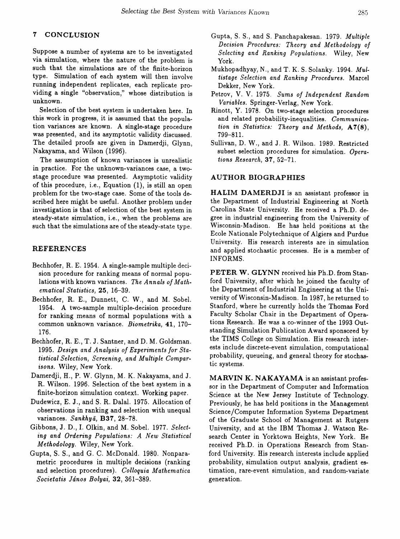### 7 CONCLUSION

Suppose a number of systems are to be investigated via simulation, where the nature of the problem is such that the simulations are of the finite-horizon type. Simulation of each system will then involve running independent replicates, each replicate providing a single "observation," whose distribution is unknown.

Selection of the best system is undertaken here. In this work in progress, it is assumed that the population variances are known. A single-stage procedure was presented, and its asymptotic validity discussed. The detailed proofs are given in Damerdji, Glynn, Nakayama, and Wilson (1996).

The assumption of known variances is unrealistic in practice. For the unknown-variances case, a twostage procedure was presented. Asymptotic validity of this procedure, i.e., Equation  $(1)$ , is still an open problem for the two-stage case. Some of the tools described here might be useful. Another problem under investigation is that of selection of the best system in steady-state simulation, i.e., when the problems are such that the simulations are of the steady-state type.

#### REFERENCES

- Bechhofer, R. E. 1954. A single-sample multiple decision procedure for ranking means of normal populations with known variances. *The Annals of Mathematical Statistics,* 25, 16-39.
- Bechhofer, R. E., Dunnett, C. W., and M. Sobel. 1954. A two-sample multiple-decision procedure for ranking means of normal populations with a common unknown variance. *Biometrika,* 41, 170- 176.
- Bechhofer, R. E., T. J. Santner, and D. M. Goldsman. *1995. Design and Analysis of Experiments for Statistical Selection, Screening, and Multiple Comparisons.* Wiley, New York.
- Damerdji, H., P. W. Glynn, M. K. Nakayama, and J. R. Wilson. 1996. Selection of the best system in a finite-horizon simulation context. Working paper.
- Dudewicz, E. J., and S. R. Dalal. 1975. Allocation of observations in ranking and selection with unequal variances. *Sankhya,* B37, 28-78.
- Gibbons, J. D., I. Olkin, and M. Sobel. 1977. Select*ing and Ordering Populations: A New Statistical Methodology.* Wiley, New York.
- Gupta, S. S., and G. C. McDonald. 1980. Nonparametric procedures in multiple decisions (ranking and selection procedures). *Colloquia Mathematica Societatis Janos Bolyai,* 32,361-389.
- Gupta, S. S., and S. Panchapakesan. 1979. *Multiple Decision Procedures: Theory and Methodology of Selecting and Ranking Populations.* Wiley, New York.
- Mukhopadhyay, N., and T. K. S. Solanky. 1994. *Multistage Selection and Ranking Procedures.* Marcel Dekker, New York.
- Petrov, V. V. 1975, *Sums of Independent Random Variables.* Springer-Verlag, New York.
- Rinott, Y. 1978. On two-stage selection procedures and related probability-inequalities. *Communication in Statistics: Theory and Methods,* A7(8), 799-811.
- Sullivan, D. W., and J. R. Wilson. 1989. Restricted subset selection procedures for simulation. *Operations Research,* 37, 52-71.

### AUTHOR BIOGRAPHIES

HALIM DAMERDJI is an assistant professor in the Department of Industrial Engineering at North Carolina State University. He received a Ph.D. degree in industrial engineering from the University of Wisconsin-Madison. He has held positions at the Ecole Nationale Polytechnique of Algiers and Purdue University. His research interests are in simulation and applied stochastic processes. He is a member of INFORMS.

PETER W. GLYNN received his Ph.D. from Stanford University, after which he joined the faculty of the Department of Industrial Engineering at the University of Wisconsin-Madison. In 1987, he returned to Stanford, where he currently holds the Thomas Ford Faculty Scholar Chair in the Department of Operations Research. He was a co-winner of the 1993 Outstanding Simulation Publication Award sponsored by the TIMS College on Simulation. His research interests include discrete-event simulation, computational probability, queueing, and general theory for stochastic systems.

MARVIN K. NAKAYAMA is an assistant professor in the Department of Computer and Information Science at the New Jersey Institute of Technology. Previously, he has held positions in the Management Science/Computer Information Systems Department of the Graduate School of Management at Rutgers University, and at the IBM Thomas J. Watson Research Center in Yorktown Heights, New York. He received Ph.D. in Operations Research from Stanford University. His research interests include applied probability, simulation output analysis, gradient estimation, rare-event simulation, and random-variate generation.